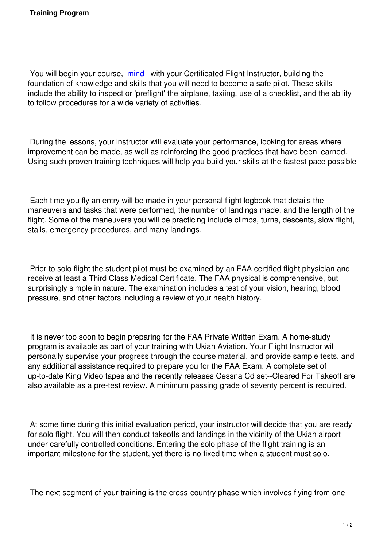You will begin your course, mind with your Certificated Flight Instructor, building the foundation of knowledge and skills that you will need to become a safe pilot. These skills include the ability to inspect or 'preflight' the airplane, taxiing, use of a checklist, and the ability to follow procedures for a wi[de var](http://viagracoupongeneric.net/)iety of activities.

 During the lessons, your instructor will evaluate your performance, looking for areas where improvement can be made, as well as reinforcing the good practices that have been learned. Using such proven training techniques will help you build your skills at the fastest pace possible

 Each time you fly an entry will be made in your personal flight logbook that details the maneuvers and tasks that were performed, the number of landings made, and the length of the flight. Some of the maneuvers you will be practicing include climbs, turns, descents, slow flight, stalls, emergency procedures, and many landings.

 Prior to solo flight the student pilot must be examined by an FAA certified flight physician and receive at least a Third Class Medical Certificate. The FAA physical is comprehensive, but surprisingly simple in nature. The examination includes a test of your vision, hearing, blood pressure, and other factors including a review of your health history.

 It is never too soon to begin preparing for the FAA Private Written Exam. A home-study program is available as part of your training with Ukiah Aviation. Your Flight Instructor will personally supervise your progress through the course material, and provide sample tests, and any additional assistance required to prepare you for the FAA Exam. A complete set of up-to-date King Video tapes and the recently releases Cessna Cd set--Cleared For Takeoff are also available as a pre-test review. A minimum passing grade of seventy percent is required.

 At some time during this initial evaluation period, your instructor will decide that you are ready for solo flight. You will then conduct takeoffs and landings in the vicinity of the Ukiah airport under carefully controlled conditions. Entering the solo phase of the flight training is an important milestone for the student, yet there is no fixed time when a student must solo.

The next segment of your training is the cross-country phase which involves flying from one